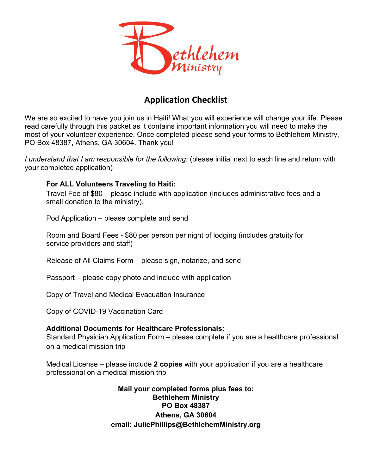

### **Application Checklist**

We are so excited to have you join us in Haiti! What you will experience will change your life. Please read carefully through this packet as it contains important information you will need to make the most of your volunteer experience. Once completed please send your forms to Bethlehem Ministry, PO Box 48387, Athens, GA 30604. Thank you!

*I understand that I am responsible for the following: (please initial next to each line and return with* your completed application)

### **For ALL Volunteers Traveling to Haiti:**

Travel Fee of \$80 – please include with application (includes administrative fees and a small donation to the ministry).

Pod Application – please complete and send

Room and Board Fees - \$80 per person per night of lodging (includes gratuity for service providers and staff)

Release of All Claims Form – please sign, notarize, and send

Passport – please copy photo and include with application

Copy of Travel and Medical Evacuation Insurance

Copy of COVID-19 Vaccination Card

### **Additional Documents for Healthcare Professionals:**

Standard Physician Application Form – please complete if you are a healthcare professional on a medical mission trip

Medical License – please include **2 copies** with your application if you are a healthcare professional on a medical mission trip

> **Mail your completed forms plus fees to: Bethlehem Ministry PO Box 48387 Athens, GA 30604 email: JuliePhillips@BethlehemMinistry.org**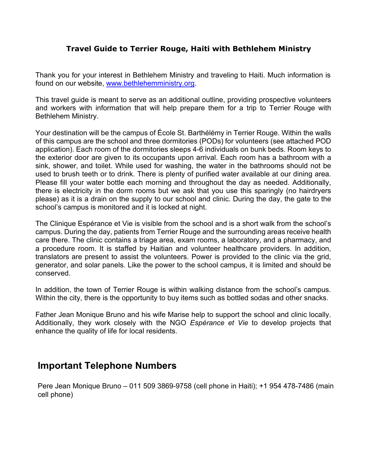### **Travel Guide to Terrier Rouge, Haiti with Bethlehem Ministry**

Thank you for your interest in Bethlehem Ministry and traveling to Haiti. Much information is found on our website, [www.bethlehemministry.org.](http://www.bethlehemministry.org/)

This travel guide is meant to serve as an additional outline, providing prospective volunteers and workers with information that will help prepare them for a trip to Terrier Rouge with Bethlehem Ministry.

Your destination will be the campus of École St. Barthélémy in Terrier Rouge. Within the walls of this campus are the school and three dormitories (PODs) for volunteers (see attached POD application). Each room of the dormitories sleeps 4-6 individuals on bunk beds. Room keys to the exterior door are given to its occupants upon arrival. Each room has a bathroom with a sink, shower, and toilet. While used for washing, the water in the bathrooms should not be used to brush teeth or to drink. There is plenty of purified water available at our dining area. Please fill your water bottle each morning and throughout the day as needed. Additionally, there is electricity in the dorm rooms but we ask that you use this sparingly (no hairdryers please) as it is a drain on the supply to our school and clinic. During the day, the gate to the school's campus is monitored and it is locked at night.

The Clinique Espérance et Vie is visible from the school and is a short walk from the school's campus. During the day, patients from Terrier Rouge and the surrounding areas receive health care there. The clinic contains a triage area, exam rooms, a laboratory, and a pharmacy, and a procedure room. It is staffed by Haitian and volunteer healthcare providers. In addition, translators are present to assist the volunteers. Power is provided to the clinic via the grid, generator, and solar panels. Like the power to the school campus, it is limited and should be conserved.

In addition, the town of Terrier Rouge is within walking distance from the school's campus. Within the city, there is the opportunity to buy items such as bottled sodas and other snacks.

Father Jean Monique Bruno and his wife Marise help to support the school and clinic locally. Additionally, they work closely with the NGO *Espérance et Vie* to develop projects that enhance the quality of life for local residents.

### **Important Telephone Numbers**

Pere Jean Monique Bruno – 011 509 3869-9758 (cell phone in Haiti); +1 954 478-7486 (main cell phone)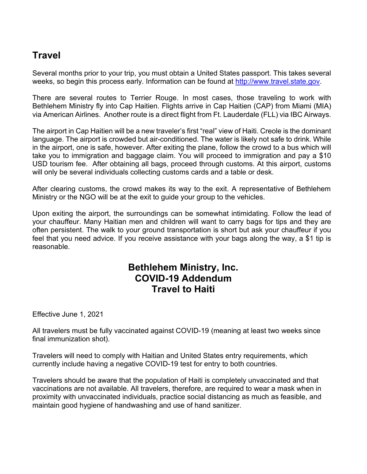# **Travel**

Several months prior to your trip, you must obtain a United States passport. This takes several weeks, so begin this process early. Information can be found at [http://www.travel.state.gov.](http://www.travel.state.gov/)

There are several routes to Terrier Rouge. In most cases, those traveling to work with Bethlehem Ministry fly into Cap Haitien. Flights arrive in Cap Haitien (CAP) from Miami (MIA) via American Airlines. Another route is a direct flight from Ft. Lauderdale (FLL) via IBC Airways.

The airport in Cap Haitien will be a new traveler's first "real" view of Haiti. Creole is the dominant language. The airport is crowded but air-conditioned. The water is likely not safe to drink. While in the airport, one is safe, however. After exiting the plane, follow the crowd to a bus which will take you to immigration and baggage claim. You will proceed to immigration and pay a \$10 USD tourism fee. After obtaining all bags, proceed through customs. At this airport, customs will only be several individuals collecting customs cards and a table or desk.

After clearing customs, the crowd makes its way to the exit. A representative of Bethlehem Ministry or the NGO will be at the exit to guide your group to the vehicles.

Upon exiting the airport, the surroundings can be somewhat intimidating. Follow the lead of your chauffeur. Many Haitian men and children will want to carry bags for tips and they are often persistent. The walk to your ground transportation is short but ask your chauffeur if you feel that you need advice. If you receive assistance with your bags along the way, a \$1 tip is reasonable.

## **Bethlehem Ministry, Inc. COVID-19 Addendum Travel to Haiti**

Effective June 1, 2021

All travelers must be fully vaccinated against COVID-19 (meaning at least two weeks since final immunization shot).

Travelers will need to comply with Haitian and United States entry requirements, which currently include having a negative COVID-19 test for entry to both countries.

Travelers should be aware that the population of Haiti is completely unvaccinated and that vaccinations are not available. All travelers, therefore, are required to wear a mask when in proximity with unvaccinated individuals, practice social distancing as much as feasible, and maintain good hygiene of handwashing and use of hand sanitizer.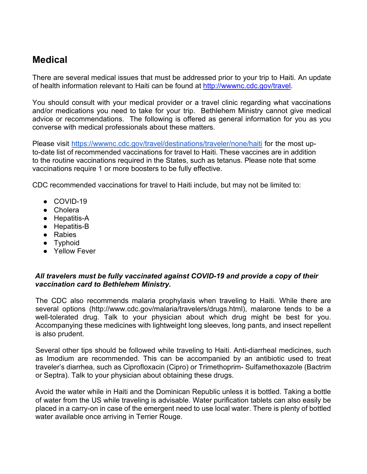# **Medical**

There are several medical issues that must be addressed prior to your trip to Haiti. An update of health information relevant to Haiti can be found at [http://wwwnc.cdc.gov/travel.](http://wwwnc.cdc.gov/travel)

You should consult with your medical provider or a travel clinic regarding what vaccinations and/or medications you need to take for your trip. Bethlehem Ministry cannot give medical advice or recommendations. The following is offered as general information for you as you converse with medical professionals about these matters.

Please visit<https://wwwnc.cdc.gov/travel/destinations/traveler/none/haiti> for the most upto-date list of recommended vaccinations for travel to Haiti. These vaccines are in addition to the routine vaccinations required in the States, such as tetanus. Please note that some vaccinations require 1 or more boosters to be fully effective.

CDC recommended vaccinations for travel to Haiti include, but may not be limited to:

- COVID-19
- Cholera
- Hepatitis-A
- Hepatitis-B
- Rabies
- Typhoid
- Yellow Fever

#### *All travelers must be fully vaccinated against COVID-19 and provide a copy of their vaccination card to Bethlehem Ministry.*

The CDC also recommends malaria prophylaxis when traveling to Haiti. While there are several options [\(http://www.cdc.gov/malaria/travelers/drugs.html\),](http://www.cdc.gov/malaria/travelers/drugs.html)) malarone tends to be a well-tolerated drug. Talk to your physician about which drug might be best for you. Accompanying these medicines with lightweight long sleeves, long pants, and insect repellent is also prudent.

Several other tips should be followed while traveling to Haiti. Anti-diarrheal medicines, such as Imodium are recommended. This can be accompanied by an antibiotic used to treat traveler's diarrhea, such as Ciprofloxacin (Cipro) or Trimethoprim- Sulfamethoxazole (Bactrim or Septra). Talk to your physician about obtaining these drugs.

Avoid the water while in Haiti and the Dominican Republic unless it is bottled. Taking a bottle of water from the US while traveling is advisable. Water purification tablets can also easily be placed in a carry-on in case of the emergent need to use local water. There is plenty of bottled water available once arriving in Terrier Rouge.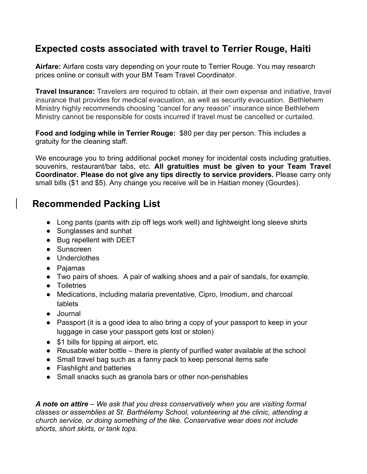# **Expected costs associated with travel to Terrier Rouge, Haiti**

**Airfare:** Airfare costs vary depending on your route to Terrier Rouge. You may research prices online or consult with your BM Team Travel Coordinator.

**Travel Insurance:** Travelers are required to obtain, at their own expense and initiative, travel insurance that provides for medical evacuation, as well as security evacuation. Bethlehem Ministry highly recommends choosing "cancel for any reason" insurance since Bethlehem Ministry cannot be responsible for costs incurred if travel must be cancelled or curtailed.

**Food and lodging while in Terrier Rouge:** \$80 per day per person. This includes a gratuity for the cleaning staff.

We encourage you to bring additional pocket money for incidental costs including gratuities, souvenirs, restaurant/bar tabs, etc. **All gratuities must be given to your Team Travel Coordinator. Please do not give any tips directly to service providers.** Please carry only small bills (\$1 and \$5). Any change you receive will be in Haitian money (Gourdes).

## **Recommended Packing List**

- Long pants (pants with zip off legs work well) and lightweight long sleeve shirts
- Sunglasses and sunhat
- Bug repellent with DEET
- Sunscreen
- Underclothes
- Pajamas
- Two pairs of shoes. A pair of walking shoes and a pair of sandals, for example.
- Toiletries
- Medications, including malaria preventative, Cipro, Imodium, and charcoal tablets
- Journal
- Passport (it is a good idea to also bring a copy of your passport to keep in your luggage in case your passport gets lost or stolen)
- \$1 bills for tipping at airport, etc.
- Reusable water bottle there is plenty of purified water available at the school
- Small travel bag such as a fanny pack to keep personal items safe
- Flashlight and batteries
- Small snacks such as granola bars or other non-perishables

*A note on attire – We ask that you dress conservatively when you are visiting formal classes or assemblies at St. Barthélemy School, volunteering at the clinic, attending a church service, or doing something of the like. Conservative wear does not include shorts, short skirts, or tank tops.*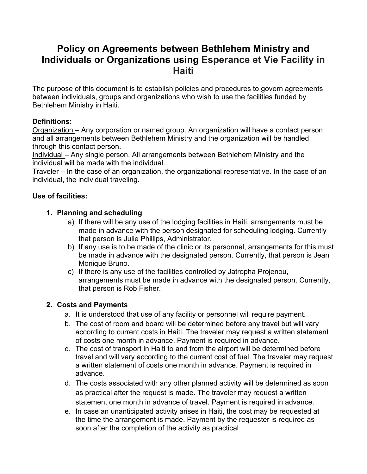### **Policy on Agreements between Bethlehem Ministry and Individuals or Organizations using Esperance et Vie Facility in Haiti**

The purpose of this document is to establish policies and procedures to govern agreements between individuals, groups and organizations who wish to use the facilities funded by Bethlehem Ministry in Haiti.

### **Definitions:**

Organization – Any corporation or named group. An organization will have a contact person and all arrangements between Bethlehem Ministry and the organization will be handled through this contact person.

Individual – Any single person. All arrangements between Bethlehem Ministry and the individual will be made with the individual.

Traveler – In the case of an organization, the organizational representative. In the case of an individual, the individual traveling.

### **Use of facilities:**

### **1. Planning and scheduling**

- a) If there will be any use of the lodging facilities in Haiti, arrangements must be made in advance with the person designated for scheduling lodging. Currently that person is Julie Phillips, Administrator.
- b) If any use is to be made of the clinic or its personnel, arrangements for this must be made in advance with the designated person. Currently, that person is Jean Monique Bruno.
- c) If there is any use of the facilities controlled by Jatropha Projenou, arrangements must be made in advance with the designated person. Currently, that person is Rob Fisher.

### **2. Costs and Payments**

- a. It is understood that use of any facility or personnel will require payment.
- b. The cost of room and board will be determined before any travel but will vary according to current costs in Haiti. The traveler may request a written statement of costs one month in advance. Payment is required in advance.
- c. The cost of transport in Haiti to and from the airport will be determined before travel and will vary according to the current cost of fuel. The traveler may request a written statement of costs one month in advance. Payment is required in advance.
- d. The costs associated with any other planned activity will be determined as soon as practical after the request is made. The traveler may request a written statement one month in advance of travel. Payment is required in advance.
- e. In case an unanticipated activity arises in Haiti, the cost may be requested at the time the arrangement is made. Payment by the requester is required as soon after the completion of the activity as practical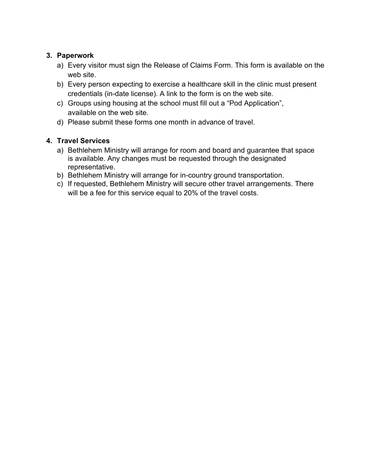### **3. Paperwork**

- a) Every visitor must sign the Release of Claims Form. This form is available on the web site.
- b) Every person expecting to exercise a healthcare skill in the clinic must present credentials (in-date license). A link to the form is on the web site.
- c) Groups using housing at the school must fill out a "Pod Application", available on the web site.
- d) Please submit these forms one month in advance of travel.

### **4. Travel Services**

- a) Bethlehem Ministry will arrange for room and board and guarantee that space is available. Any changes must be requested through the designated representative.
- b) Bethlehem Ministry will arrange for in-country ground transportation.
- c) If requested, Bethlehem Ministry will secure other travel arrangements. There will be a fee for this service equal to 20% of the travel costs.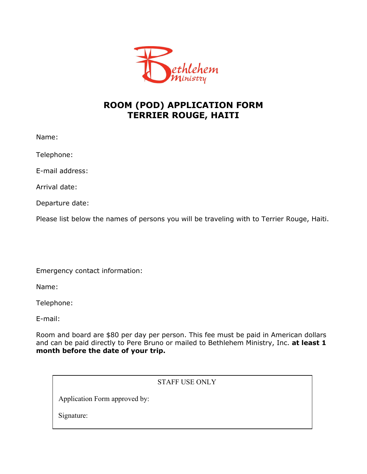

### **ROOM (POD) APPLICATION FORM TERRIER ROUGE, HAITI**

Name:

Telephone:

E-mail address:

Arrival date:

Departure date:

Please list below the names of persons you will be traveling with to Terrier Rouge, Haiti.

Emergency contact information:

Name:

Telephone:

E-mail:

Room and board are \$80 per day per person. This fee must be paid in American dollars and can be paid directly to Pere Bruno or mailed to Bethlehem Ministry, Inc. **at least 1 month before the date of your trip.**

### STAFF USE ONLY

Application Form approved by:

Signature: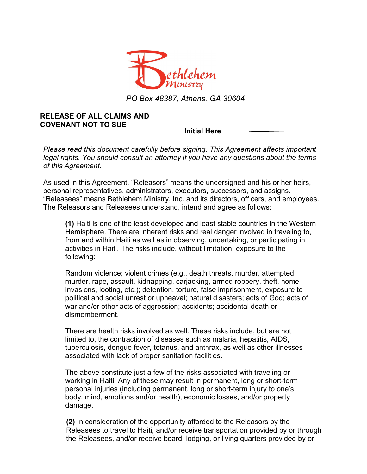

*PO Box 48387, Athens, GA 30604*

#### **RELEASE OF ALL CLAIMS AND COVENANT NOT TO SUE**

**Initial Here** 

*Please read this document carefully before signing. This Agreement affects important legal rights. You should consult an attorney if you have any questions about the terms of this Agreement.*

As used in this Agreement, "Releasors" means the undersigned and his or her heirs, personal representatives, administrators, executors, successors, and assigns. "Releasees" means Bethlehem Ministry, Inc. and its directors, officers, and employees. The Releasors and Releasees understand, intend and agree as follows:

**(1)** Haiti is one of the least developed and least stable countries in the Western Hemisphere. There are inherent risks and real danger involved in traveling to, from and within Haiti as well as in observing, undertaking, or participating in activities in Haiti. The risks include, without limitation, exposure to the following:

Random violence; violent crimes (e.g., death threats, murder, attempted murder, rape, assault, kidnapping, carjacking, armed robbery, theft, home invasions, looting, etc.); detention, torture, false imprisonment, exposure to political and social unrest or upheaval; natural disasters; acts of God; acts of war and/or other acts of aggression; accidents; accidental death or dismemberment.

There are health risks involved as well. These risks include, but are not limited to, the contraction of diseases such as malaria, hepatitis, AIDS, tuberculosis, dengue fever, tetanus, and anthrax, as well as other illnesses associated with lack of proper sanitation facilities.

The above constitute just a few of the risks associated with traveling or working in Haiti. Any of these may result in permanent, long or short-term personal injuries (including permanent, long or short-term injury to one's body, mind, emotions and/or health), economic losses, and/or property damage.

**(2)** In consideration of the opportunity afforded to the Releasors by the Releasees to travel to Haiti, and/or receive transportation provided by or through the Releasees, and/or receive board, lodging, or living quarters provided by or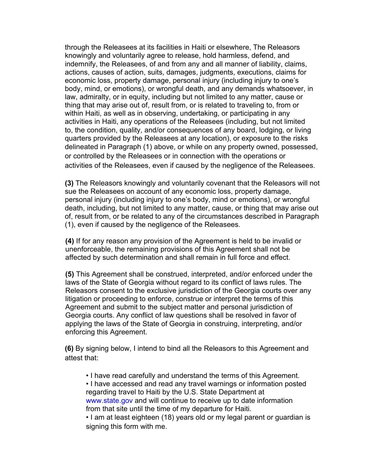through the Releasees at its facilities in Haiti or elsewhere, The Releasors knowingly and voluntarily agree to release, hold harmless, defend, and indemnify, the Releasees, of and from any and all manner of liability, claims, actions, causes of action, suits, damages, judgments, executions, claims for economic loss, property damage, personal injury (including injury to one's body, mind, or emotions), or wrongful death, and any demands whatsoever, in law, admiralty, or in equity, including but not limited to any matter, cause or thing that may arise out of, result from, or is related to traveling to, from or within Haiti, as well as in observing, undertaking, or participating in any activities in Haiti, any operations of the Releasees (including, but not limited to, the condition, quality, and/or consequences of any board, lodging, or living quarters provided by the Releasees at any location), or exposure to the risks delineated in Paragraph (1) above, or while on any property owned, possessed, or controlled by the Releasees or in connection with the operations or activities of the Releasees, even if caused by the negligence of the Releasees.

**(3)** The Releasors knowingly and voluntarily covenant that the Releasors will not sue the Releasees on account of any economic loss, property damage, personal injury (including injury to one's body, mind or emotions), or wrongful death, including, but not limited to any matter, cause, or thing that may arise out of, result from, or be related to any of the circumstances described in Paragraph (1), even if caused by the negligence of the Releasees.

**(4)** If for any reason any provision of the Agreement is held to be invalid or unenforceable, the remaining provisions of this Agreement shall not be affected by such determination and shall remain in full force and effect.

**(5)** This Agreement shall be construed, interpreted, and/or enforced under the laws of the State of Georgia without regard to its conflict of laws rules. The Releasors consent to the exclusive jurisdiction of the Georgia courts over any litigation or proceeding to enforce, construe or interpret the terms of this Agreement and submit to the subject matter and personal jurisdiction of Georgia courts. Any conflict of law questions shall be resolved in favor of applying the laws of the State of Georgia in construing, interpreting, and/or enforcing this Agreement.

**(6)** By signing below, I intend to bind all the Releasors to this Agreement and attest that:

• I have read carefully and understand the terms of this Agreement.

• I have accessed and read any travel warnings or information posted regarding travel to Haiti by the U.S. State Department at [www.state.gov](http://www.state.gov/) and will continue to receive up to date information from that site until the time of my departure for Haiti.

• I am at least eighteen (18) years old or my legal parent or guardian is signing this form with me.